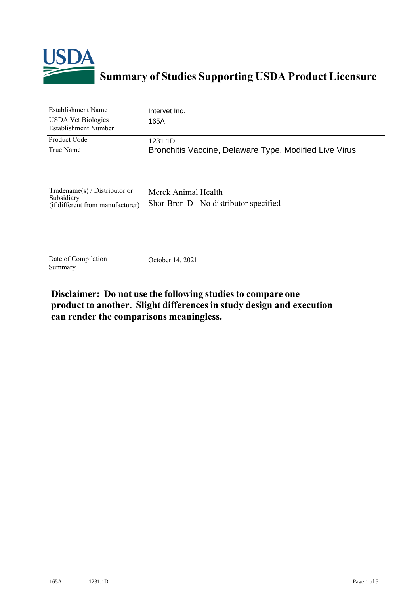

## **Summary of Studies Supporting USDA Product Licensure**

| <b>Establishment Name</b>                                                          | Intervet Inc.                                                 |
|------------------------------------------------------------------------------------|---------------------------------------------------------------|
| <b>USDA Vet Biologics</b><br><b>Establishment Number</b>                           | 165A                                                          |
| Product Code                                                                       | 1231.1D                                                       |
| True Name                                                                          | Bronchitis Vaccine, Delaware Type, Modified Live Virus        |
| Tradename $(s)$ / Distributor or<br>Subsidiary<br>(if different from manufacturer) | Merck Animal Health<br>Shor-Bron-D - No distributor specified |
| Date of Compilation<br>Summary                                                     | October 14, 2021                                              |

## **Disclaimer: Do not use the following studiesto compare one product to another. Slight differencesin study design and execution can render the comparisons meaningless.**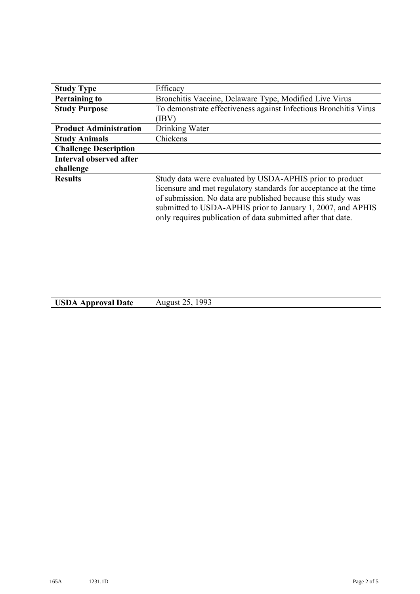| <b>Study Type</b>              | Efficacy                                                                                                                                                                                                                                                                                                                    |
|--------------------------------|-----------------------------------------------------------------------------------------------------------------------------------------------------------------------------------------------------------------------------------------------------------------------------------------------------------------------------|
| <b>Pertaining to</b>           | Bronchitis Vaccine, Delaware Type, Modified Live Virus                                                                                                                                                                                                                                                                      |
| <b>Study Purpose</b>           | To demonstrate effectiveness against Infectious Bronchitis Virus<br>(IBV)                                                                                                                                                                                                                                                   |
| <b>Product Administration</b>  | Drinking Water                                                                                                                                                                                                                                                                                                              |
| <b>Study Animals</b>           | Chickens                                                                                                                                                                                                                                                                                                                    |
| <b>Challenge Description</b>   |                                                                                                                                                                                                                                                                                                                             |
| <b>Interval observed after</b> |                                                                                                                                                                                                                                                                                                                             |
| challenge                      |                                                                                                                                                                                                                                                                                                                             |
| <b>Results</b>                 | Study data were evaluated by USDA-APHIS prior to product<br>licensure and met regulatory standards for acceptance at the time<br>of submission. No data are published because this study was<br>submitted to USDA-APHIS prior to January 1, 2007, and APHIS<br>only requires publication of data submitted after that date. |
| <b>USDA Approval Date</b>      | August 25, 1993                                                                                                                                                                                                                                                                                                             |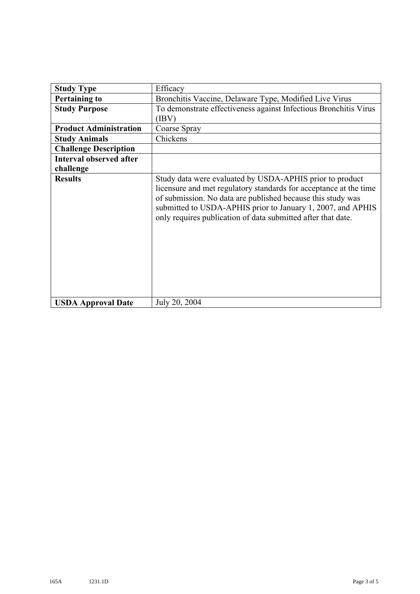| <b>Study Type</b>              | Efficacy                                                                                                                                                                                                                                                                                                                    |
|--------------------------------|-----------------------------------------------------------------------------------------------------------------------------------------------------------------------------------------------------------------------------------------------------------------------------------------------------------------------------|
| <b>Pertaining to</b>           | Bronchitis Vaccine, Delaware Type, Modified Live Virus                                                                                                                                                                                                                                                                      |
| <b>Study Purpose</b>           | To demonstrate effectiveness against Infectious Bronchitis Virus                                                                                                                                                                                                                                                            |
|                                | (IBV)                                                                                                                                                                                                                                                                                                                       |
| <b>Product Administration</b>  | Coarse Spray                                                                                                                                                                                                                                                                                                                |
| <b>Study Animals</b>           | Chickens                                                                                                                                                                                                                                                                                                                    |
| <b>Challenge Description</b>   |                                                                                                                                                                                                                                                                                                                             |
| <b>Interval observed after</b> |                                                                                                                                                                                                                                                                                                                             |
| challenge                      |                                                                                                                                                                                                                                                                                                                             |
| <b>Results</b>                 | Study data were evaluated by USDA-APHIS prior to product<br>licensure and met regulatory standards for acceptance at the time<br>of submission. No data are published because this study was<br>submitted to USDA-APHIS prior to January 1, 2007, and APHIS<br>only requires publication of data submitted after that date. |
| <b>USDA Approval Date</b>      | July 20, 2004                                                                                                                                                                                                                                                                                                               |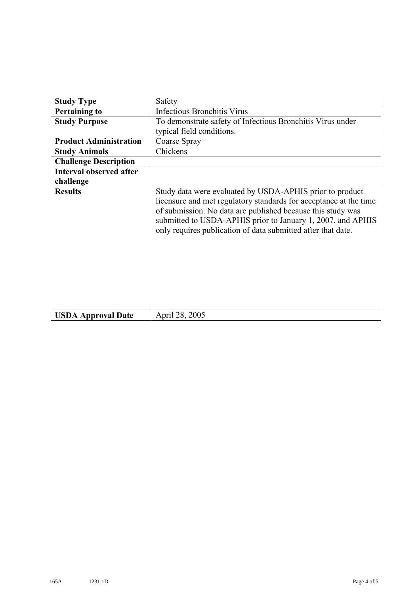| <b>Study Type</b>              | Safety                                                                                                                                                                                                                                                                                                                      |
|--------------------------------|-----------------------------------------------------------------------------------------------------------------------------------------------------------------------------------------------------------------------------------------------------------------------------------------------------------------------------|
| <b>Pertaining to</b>           | <b>Infectious Bronchitis Virus</b>                                                                                                                                                                                                                                                                                          |
| <b>Study Purpose</b>           | To demonstrate safety of Infectious Bronchitis Virus under                                                                                                                                                                                                                                                                  |
|                                | typical field conditions.                                                                                                                                                                                                                                                                                                   |
| <b>Product Administration</b>  | Coarse Spray                                                                                                                                                                                                                                                                                                                |
| <b>Study Animals</b>           | Chickens                                                                                                                                                                                                                                                                                                                    |
| <b>Challenge Description</b>   |                                                                                                                                                                                                                                                                                                                             |
| <b>Interval observed after</b> |                                                                                                                                                                                                                                                                                                                             |
| challenge                      |                                                                                                                                                                                                                                                                                                                             |
| <b>Results</b>                 | Study data were evaluated by USDA-APHIS prior to product<br>licensure and met regulatory standards for acceptance at the time<br>of submission. No data are published because this study was<br>submitted to USDA-APHIS prior to January 1, 2007, and APHIS<br>only requires publication of data submitted after that date. |
| <b>USDA Approval Date</b>      | April 28, 2005                                                                                                                                                                                                                                                                                                              |